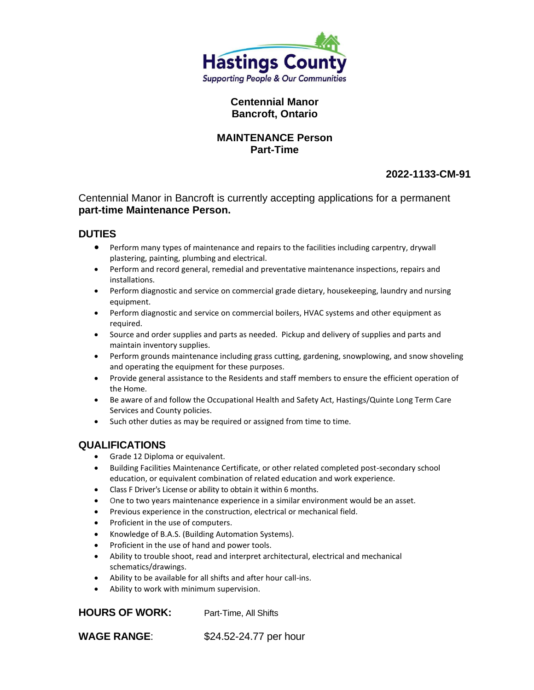

### **Centennial Manor Bancroft, Ontario**

#### **MAINTENANCE Person Part-Time**

# **2022-1133-CM-91**

Centennial Manor in Bancroft is currently accepting applications for a permanent **part-time Maintenance Person.**

### **DUTIES**

- Perform many types of maintenance and repairs to the facilities including carpentry, drywall plastering, painting, plumbing and electrical.
- Perform and record general, remedial and preventative maintenance inspections, repairs and installations.
- Perform diagnostic and service on commercial grade dietary, housekeeping, laundry and nursing equipment.
- Perform diagnostic and service on commercial boilers, HVAC systems and other equipment as required.
- Source and order supplies and parts as needed. Pickup and delivery of supplies and parts and maintain inventory supplies.
- Perform grounds maintenance including grass cutting, gardening, snowplowing, and snow shoveling and operating the equipment for these purposes.
- Provide general assistance to the Residents and staff members to ensure the efficient operation of the Home.
- Be aware of and follow the Occupational Health and Safety Act, Hastings/Quinte Long Term Care Services and County policies.
- Such other duties as may be required or assigned from time to time.

### **QUALIFICATIONS**

- Grade 12 Diploma or equivalent.
- Building Facilities Maintenance Certificate, or other related completed post-secondary school education, or equivalent combination of related education and work experience.
- Class F Driver's License or ability to obtain it within 6 months.
- One to two years maintenance experience in a similar environment would be an asset.
- Previous experience in the construction, electrical or mechanical field.
- Proficient in the use of computers.
- Knowledge of B.A.S. (Building Automation Systems).
- Proficient in the use of hand and power tools.
- Ability to trouble shoot, read and interpret architectural, electrical and mechanical schematics/drawings.
- Ability to be available for all shifts and after hour call-ins.
- Ability to work with minimum supervision.

**HOURS OF WORK:** Part-Time, All Shifts

**WAGE RANGE:** \$24.52-24.77 per hour